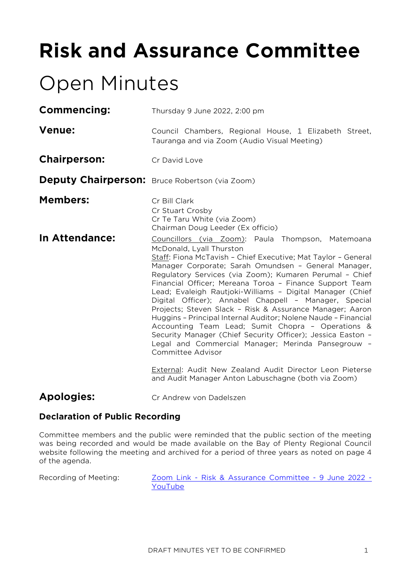# **Risk and Assurance Committee**

## Open Minutes

| Thursday 9 June 2022, 2:00 pm                                                                                                                                                                                                                                                                                                                                                                                                                                                                                                                                                                                                                                                                                                                                                                                                                                                                      |  |  |
|----------------------------------------------------------------------------------------------------------------------------------------------------------------------------------------------------------------------------------------------------------------------------------------------------------------------------------------------------------------------------------------------------------------------------------------------------------------------------------------------------------------------------------------------------------------------------------------------------------------------------------------------------------------------------------------------------------------------------------------------------------------------------------------------------------------------------------------------------------------------------------------------------|--|--|
| Council Chambers, Regional House, 1 Elizabeth Street,<br>Tauranga and via Zoom (Audio Visual Meeting)                                                                                                                                                                                                                                                                                                                                                                                                                                                                                                                                                                                                                                                                                                                                                                                              |  |  |
| Cr David Love                                                                                                                                                                                                                                                                                                                                                                                                                                                                                                                                                                                                                                                                                                                                                                                                                                                                                      |  |  |
| <b>Deputy Chairperson:</b> Bruce Robertson (via Zoom)                                                                                                                                                                                                                                                                                                                                                                                                                                                                                                                                                                                                                                                                                                                                                                                                                                              |  |  |
| Cr Bill Clark<br>Cr Stuart Crosby<br>Cr Te Taru White (via Zoom)<br>Chairman Doug Leeder (Ex officio)                                                                                                                                                                                                                                                                                                                                                                                                                                                                                                                                                                                                                                                                                                                                                                                              |  |  |
| Councillors (via Zoom): Paula Thompson, Matemoana<br>McDonald, Lyall Thurston<br>Staff: Fiona McTavish - Chief Executive; Mat Taylor - General<br>Manager Corporate; Sarah Omundsen - General Manager,<br>Regulatory Services (via Zoom); Kumaren Perumal - Chief<br>Financial Officer; Mereana Toroa - Finance Support Team<br>Lead; Evaleigh Rautjoki-Williams - Digital Manager (Chief<br>Digital Officer); Annabel Chappell - Manager, Special<br>Projects; Steven Slack - Risk & Assurance Manager; Aaron<br>Huggins - Principal Internal Auditor; Nolene Naude - Financial<br>Accounting Team Lead; Sumit Chopra - Operations &<br>Security Manager (Chief Security Officer); Jessica Easton -<br>Legal and Commercial Manager; Merinda Pansegrouw -<br>Committee Advisor<br>External: Audit New Zealand Audit Director Leon Pieterse<br>and Audit Manager Anton Labuschagne (both via Zoom) |  |  |
|                                                                                                                                                                                                                                                                                                                                                                                                                                                                                                                                                                                                                                                                                                                                                                                                                                                                                                    |  |  |

**Apologies:** Cr Andrew von Dadelszen

## **Declaration of Public Recording**

Committee members and the public were reminded that the public section of the meeting was being recorded and would be made available on the Bay of Plenty Regional Council website following the meeting and archived for a period of three years as noted on page 4 of the agenda.

Recording of Meeting: Zoom Link - [Risk & Assurance Committee -](https://www.youtube.com/watch?v=iypsMCTN75Y) 9 June 2022 -[YouTube](https://www.youtube.com/watch?v=iypsMCTN75Y)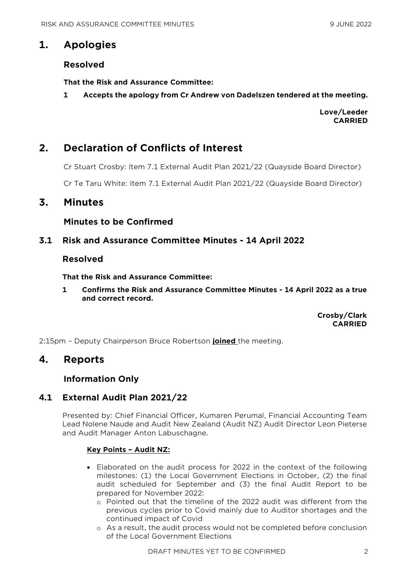## **1. Apologies**

#### **Resolved**

**That the Risk and Assurance Committee:**

**1 Accepts the apology from Cr Andrew von Dadelszen tendered at the meeting.**

**Love/Leeder CARRIED**

## **2. Declaration of Conflicts of Interest**

Cr Stuart Crosby: Item 7.1 External Audit Plan 2021/22 (Quayside Board Director)

Cr Te Taru White: Item 7.1 External Audit Plan 2021/22 (Quayside Board Director)

## **3. Minutes**

#### **Minutes to be Confirmed**

#### **3.1 Risk and Assurance Committee Minutes - 14 April 2022**

#### **Resolved**

**That the Risk and Assurance Committee:**

**1 Confirms the Risk and Assurance Committee Minutes - 14 April 2022 as a true and correct record.**

> **Crosby/Clark CARRIED**

2:15pm – Deputy Chairperson Bruce Robertson **joined** the meeting.

## **4. Reports**

## **Information Only**

## **4.1 External Audit Plan 2021/22**

Presented by: Chief Financial Officer, Kumaren Perumal, Financial Accounting Team Lead Nolene Naude and Audit New Zealand (Audit NZ) Audit Director Leon Pieterse and Audit Manager Anton Labuschagne.

#### **Key Points – Audit NZ:**

- Elaborated on the audit process for 2022 in the context of the following milestones: (1) the Local Government Elections in October, (2) the final audit scheduled for September and (3) the final Audit Report to be prepared for November 2022:
	- o Pointed out that the timeline of the 2022 audit was different from the previous cycles prior to Covid mainly due to Auditor shortages and the continued impact of Covid
	- o As a result, the audit process would not be completed before conclusion of the Local Government Elections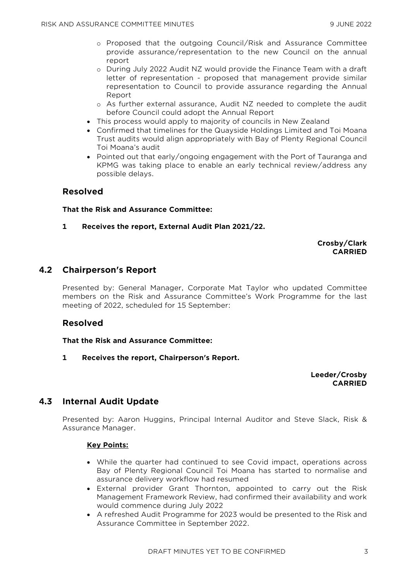- o Proposed that the outgoing Council/Risk and Assurance Committee provide assurance/representation to the new Council on the annual report
- o During July 2022 Audit NZ would provide the Finance Team with a draft letter of representation - proposed that management provide similar representation to Council to provide assurance regarding the Annual Report
- o As further external assurance, Audit NZ needed to complete the audit before Council could adopt the Annual Report
- This process would apply to majority of councils in New Zealand
- Confirmed that timelines for the Quayside Holdings Limited and Toi Moana Trust audits would align appropriately with Bay of Plenty Regional Council Toi Moana's audit
- Pointed out that early/ongoing engagement with the Port of Tauranga and KPMG was taking place to enable an early technical review/address any possible delays.

#### **Resolved**

#### **That the Risk and Assurance Committee:**

**1 Receives the report, External Audit Plan 2021/22.**

#### **Crosby/Clark CARRIED**

#### **4.2 Chairperson's Report**

Presented by: General Manager, Corporate Mat Taylor who updated Committee members on the Risk and Assurance Committee's Work Programme for the last meeting of 2022, scheduled for 15 September:

#### **Resolved**

#### **That the Risk and Assurance Committee:**

**1 Receives the report, Chairperson's Report.**

**Leeder/Crosby CARRIED**

## **4.3 Internal Audit Update**

Presented by: Aaron Huggins, Principal Internal Auditor and Steve Slack, Risk & Assurance Manager.

#### **Key Points:**

- While the quarter had continued to see Covid impact, operations across Bay of Plenty Regional Council Toi Moana has started to normalise and assurance delivery workflow had resumed
- External provider Grant Thornton, appointed to carry out the Risk Management Framework Review, had confirmed their availability and work would commence during July 2022
- A refreshed Audit Programme for 2023 would be presented to the Risk and Assurance Committee in September 2022.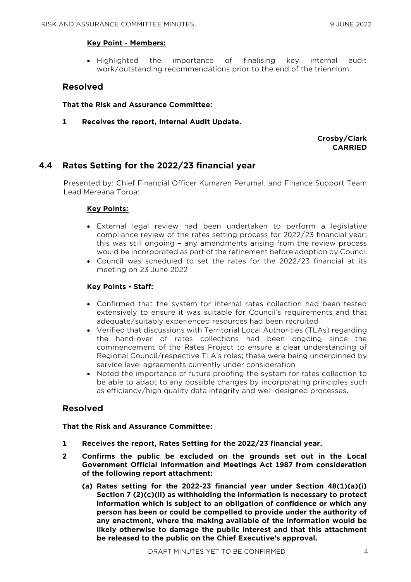#### **Key Point - Members:**

• Highlighted the importance of finalising key internal audit work/outstanding recommendations prior to the end of the triennium.

#### **Resolved**

#### **That the Risk and Assurance Committee:**

**1 Receives the report, Internal Audit Update.**

**Crosby/Clark CARRIED**

#### **4.4 Rates Setting for the 2022/23 financial year**

Presented by: Chief Financial Officer Kumaren Perumal, and Finance Support Team Lead Mereana Toroa:

#### **Key Points:**

- External legal review had been undertaken to perform a legislative compliance review of the rates setting process for 2022/23 financial year; this was still ongoing – any amendments arising from the review process would be incorporated as part of the refinement before adoption by Council
- Council was scheduled to set the rates for the 2022/23 financial at its meeting on 23 June 2022

#### **Key Points - Staff:**

- Confirmed that the system for internal rates collection had been tested extensively to ensure it was suitable for Council's requirements and that adequate/suitably experienced resources had been recruited
- Verified that discussions with Territorial Local Authorities (TLAs) regarding the hand-over of rates collections had been ongoing since the commencement of the Rates Project to ensure a clear understanding of Regional Council/respective TLA's roles; these were being underpinned by service level agreements currently under consideration
- Noted the importance of future proofing the system for rates collection to be able to adapt to any possible changes by incorporating principles such as efficiency/high quality data integrity and well-designed processes.

#### **Resolved**

#### **That the Risk and Assurance Committee:**

- **1 Receives the report, Rates Setting for the 2022/23 financial year.**
- **2 Confirms the public be excluded on the grounds set out in the Local Government Official Information and Meetings Act 1987 from consideration of the following report attachment:**
	- **(a) Rates setting for the 2022-23 financial year under Section 48(1)(a)(i) Section 7 (2)(c)(ii) as withholding the information is necessary to protect information which is subject to an obligation of confidence or which any person has been or could be compelled to provide under the authority of any enactment, where the making available of the information would be likely otherwise to damage the public interest and that this attachment be released to the public on the Chief Executive's approval.**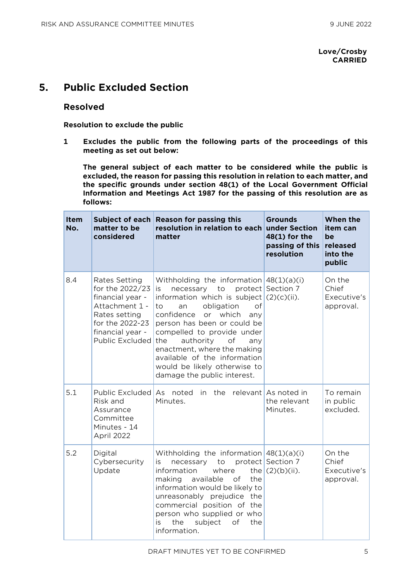#### **Love/Crosby CARRIED**

## **5. Public Excluded Section**

#### **Resolved**

**Resolution to exclude the public**

**1 Excludes the public from the following parts of the proceedings of this meeting as set out below:**

**The general subject of each matter to be considered while the public is excluded, the reason for passing this resolution in relation to each matter, and the specific grounds under section 48(1) of the Local Government Official Information and Meetings Act 1987 for the passing of this resolution are as follows:**

| Item<br>No. | matter to be<br>considered                                                                                                                        | Subject of each Reason for passing this<br>resolution in relation to each under Section<br>matter                                                                                                                                                                                                                                                                                                            | <b>Grounds</b><br>48(1) for the<br>passing of this<br>resolution | When the<br>item can<br>be<br>released<br>into the<br>public |
|-------------|---------------------------------------------------------------------------------------------------------------------------------------------------|--------------------------------------------------------------------------------------------------------------------------------------------------------------------------------------------------------------------------------------------------------------------------------------------------------------------------------------------------------------------------------------------------------------|------------------------------------------------------------------|--------------------------------------------------------------|
| 8.4         | Rates Setting<br>for the 2022/23<br>financial year -<br>Attachment 1 -<br>Rates setting<br>for the 2022-23<br>financial year -<br>Public Excluded | Withholding the information $48(1)(a)(i)$<br>necessary to<br>is.<br>information which is subject $(2)(c)(ii)$ .<br>obligation<br>of<br>to<br>an<br>confidence<br>or which<br>any<br>person has been or could be<br>compelled to provide under<br>authority<br>the<br>of<br>any<br>enactment, where the making<br>available of the information<br>would be likely otherwise to<br>damage the public interest. | protect Section 7                                                | On the<br>Chief<br>Executive's<br>approval.                  |
| 5.1         | Public Excluded<br>Risk and<br>Assurance<br>Committee<br>Minutes - 14<br>April 2022                                                               | As noted<br>in the<br>Minutes.                                                                                                                                                                                                                                                                                                                                                                               | relevant As noted in<br>the relevant<br>Minutes.                 | To remain<br>in public<br>excluded.                          |
| 5.2         | Digital<br>Cybersecurity<br>Update                                                                                                                | Withholding the information $48(1)(a)(i)$<br>to<br>necessary<br>is<br>information<br>where<br>making<br>available<br>of<br>the<br>information would be likely to<br>unreasonably prejudice the<br>commercial position of the<br>person who supplied or who<br>the<br>subject<br>of<br>is.<br>the<br>information.                                                                                             | protect Section 7<br>the $(2)(b)(ii)$ .                          | On the<br>Chief<br>Executive's<br>approval.                  |